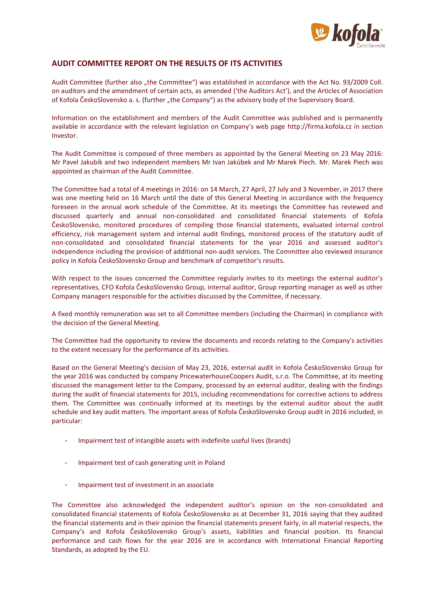

## **AUDIT COMMITTEE REPORT ON THE RESULTS OF ITS ACTIVITIES**

Audit Committee (further also "the Committee") was established in accordance with the Act No. 93/2009 Coll. on auditors and the amendment of certain acts, as amended ('the Auditors Act'), and the Articles of Association of Kofola ČeskoSlovensko a. s. (further "the Company") as the advisory body of the Supervisory Board.

Information on the establishment and members of the Audit Committee was published and is permanently available in accordance with the relevant legislation on Company's web page [http://firma.kofola.cz](http://firma.kofola.cz/) in section Investor.

The Audit Committee is composed of three members as appointed by the General Meeting on 23 May 2016: Mr Pavel Jakubík and two independent members Mr Ivan Jakúbek and Mr Marek Piech. Mr. Marek Piech was appointed as chairman of the Audit Committee.

The Committee had a total of 4 meetings in 2016: on 14 March, 27 April, 27 July and 3 November, in 2017 there was one meeting held on 16 March until the date of this General Meeting in accordance with the frequency foreseen in the annual work schedule of the Committee. At its meetings the Committee has reviewed and discussed quarterly and annual non-consolidated and consolidated financial statements of Kofola ČeskoSlovensko, monitored procedures of compiling those financial statements, evaluated internal control efficiency, risk management system and internal audit findings, monitored process of the statutory audit of non-consolidated and consolidated financial statements for the year 2016 and assessed auditor's independence including the provision of additional non-audit services. The Committee also reviewed insurance policy in Kofola ČeskoSlovensko Group and benchmark of competitor's results.

With respect to the issues concerned the Committee regularly invites to its meetings the external auditor's representatives, CFO Kofola ČeskoSlovensko Group, internal auditor, Group reporting manager as well as other Company managers responsible for the activities discussed by the Committee, if necessary.

A fixed monthly remuneration was set to all Committee members (including the Chairman) in compliance with the decision of the General Meeting.

The Committee had the opportunity to review the documents and records relating to the Company's activities to the extent necessary for the performance of its activities.

Based on the General Meeting's decision of May 23, 2016, external audit in Kofola ČeskoSlovensko Group for the year 2016 was conducted by company PricewaterhouseCoopers Audit, s.r.o. The Committee, at its meeting discussed the management letter to the Company, processed by an external auditor, dealing with the findings during the audit of financial statements for 2015, including recommendations for corrective actions to address them. The Committee was continually informed at its meetings by the external auditor about the audit schedule and key audit matters. The important areas of Kofola ČeskoSlovensko Group audit in 2016 included, in particular:

- Impairment test of intangible assets with indefinite useful lives (brands)
- Impairment test of cash generating unit in Poland
- Impairment test of investment in an associate

The Committee also acknowledged the independent auditor's opinion on the non-consolidated and consolidated financial statements of Kofola ČeskoSlovensko as at December 31, 2016 saying that they audited the financial statements and in their opinion the financial statements present fairly, in all material respects, the Company's and Kofola ČeskoSlovensko Group's assets, liabilities and financial position. Its financial performance and cash flows for the year 2016 are in accordance with International Financial Reporting Standards, as adopted by the EU.